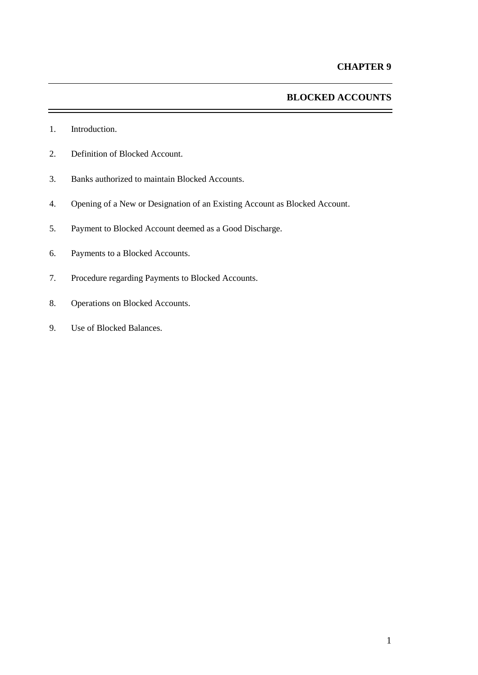# **BLOCKED ACCOUNTS**

- 1. Introduction.
- 2. Definition of Blocked Account.
- 3. Banks authorized to maintain Blocked Accounts.
- 4. Opening of a New or Designation of an Existing Account as Blocked Account.
- 5. Payment to Blocked Account deemed as a Good Discharge.
- 6. Payments to a Blocked Accounts.
- 7. Procedure regarding Payments to Blocked Accounts.
- 8. Operations on Blocked Accounts.
- 9. Use of Blocked Balances.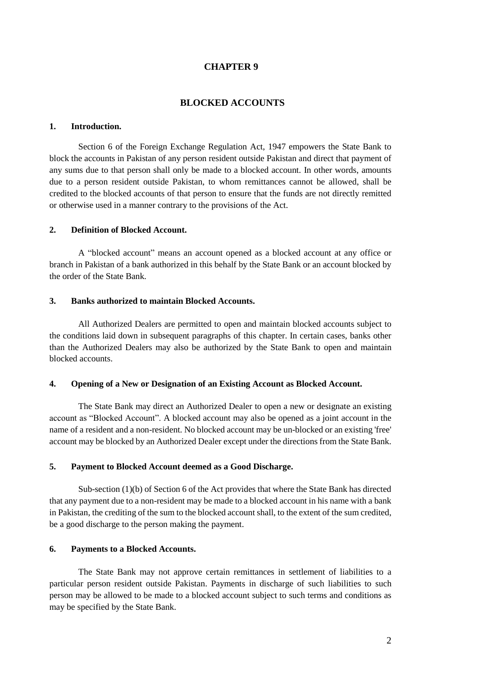# **CHAPTER 9**

# **BLOCKED ACCOUNTS**

#### **1. Introduction.**

Section 6 of the Foreign Exchange Regulation Act, 1947 empowers the State Bank to block the accounts in Pakistan of any person resident outside Pakistan and direct that payment of any sums due to that person shall only be made to a blocked account. In other words, amounts due to a person resident outside Pakistan, to whom remittances cannot be allowed, shall be credited to the blocked accounts of that person to ensure that the funds are not directly remitted or otherwise used in a manner contrary to the provisions of the Act.

#### **2. Definition of Blocked Account.**

A "blocked account" means an account opened as a blocked account at any office or branch in Pakistan of a bank authorized in this behalf by the State Bank or an account blocked by the order of the State Bank.

#### **3. Banks authorized to maintain Blocked Accounts.**

All Authorized Dealers are permitted to open and maintain blocked accounts subject to the conditions laid down in subsequent paragraphs of this chapter. In certain cases, banks other than the Authorized Dealers may also be authorized by the State Bank to open and maintain blocked accounts.

## **4. Opening of a New or Designation of an Existing Account as Blocked Account.**

The State Bank may direct an Authorized Dealer to open a new or designate an existing account as "Blocked Account". A blocked account may also be opened as a joint account in the name of a resident and a non-resident. No blocked account may be un-blocked or an existing 'free' account may be blocked by an Authorized Dealer except under the directions from the State Bank.

# **5. Payment to Blocked Account deemed as a Good Discharge.**

Sub-section (1)(b) of Section 6 of the Act provides that where the State Bank has directed that any payment due to a non-resident may be made to a blocked account in his name with a bank in Pakistan, the crediting of the sum to the blocked account shall, to the extent of the sum credited, be a good discharge to the person making the payment.

# **6. Payments to a Blocked Accounts.**

The State Bank may not approve certain remittances in settlement of liabilities to a particular person resident outside Pakistan. Payments in discharge of such liabilities to such person may be allowed to be made to a blocked account subject to such terms and conditions as may be specified by the State Bank.